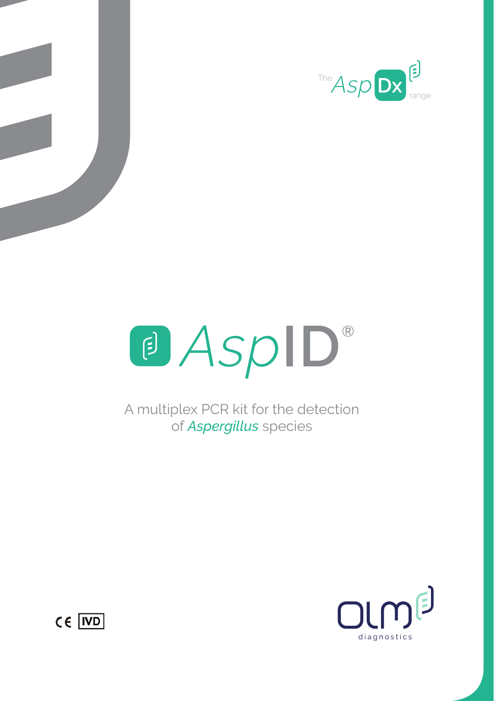





A multiplex PCR kit for the detection of *Aspergillus* species



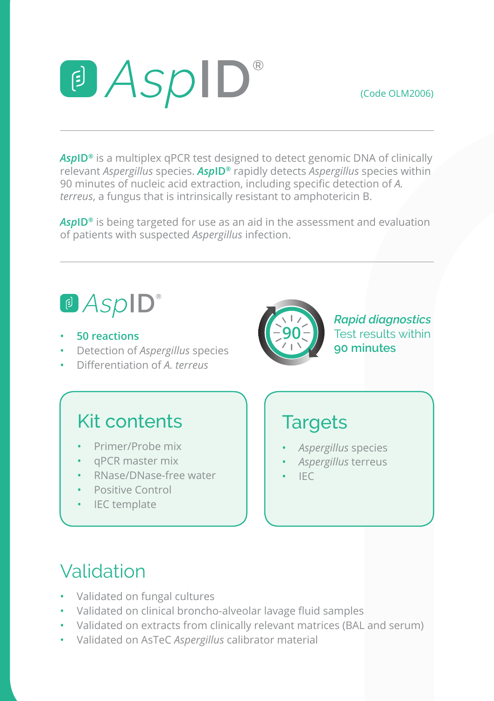(Code OLM2006)

# a AspID®

*Asp***ID®** is a multiplex qPCR test designed to detect genomic DNA of clinically relevant *Aspergillus* species. *Asp***ID®** rapidly detects *Aspergillus* species within 90 minutes of nucleic acid extraction, including specific detection of *A. terreus*, a fungus that is intrinsically resistant to amphotericin B.

*Asp***ID®** is being targeted for use as an aid in the assessment and evaluation of patients with suspected *Aspergillus* infection.

# <sup>®</sup> AspID<sup>®</sup>

- **50 reactions**
- Detection of *Aspergillus* species
- Differentiation of *A. terreus*



*Rapid diagnostics* Test results within **90 minutes**

#### Kit contents

- Primer/Probe mix
- qPCR master mix
- RNase/DNase-free water
- Positive Control
- IEC template

#### **Targets**

- *Aspergillus* species
- *Aspergillus* terreus
- IEC

### Validation

- Validated on fungal cultures
- Validated on clinical broncho-alveolar lavage fluid samples
- Validated on extracts from clinically relevant matrices (BAL and serum)
- Validated on AsTeC *Aspergillus* calibrator material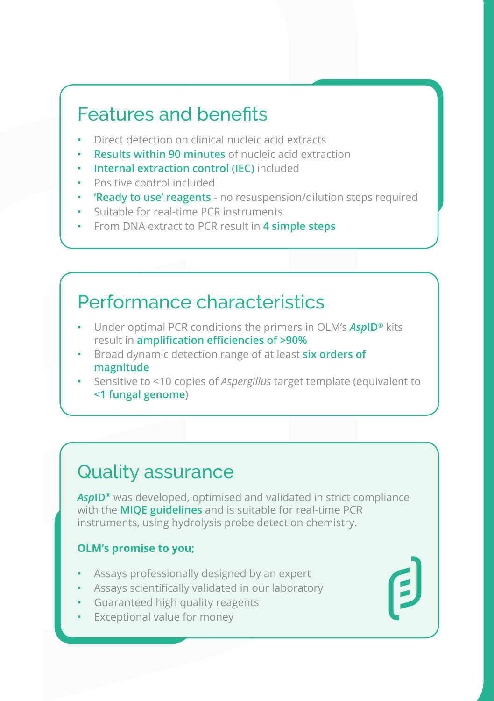#### Features and benefits

- Direct detection on clinical nucleic acid extracts
- **Results within 90 minutes** of nucleic acid extraction
- **Internal extraction control (IEC)** included
- Positive control included
- **'Ready to use' reagents** no resuspension/dilution steps required
- Suitable for real-time PCR instruments
- From DNA extract to PCR result in **4 simple steps**

#### Performance characteristics

- Under optimal PCR conditions the primers in OLM's *Asp***ID®** kits result in **amplification efficiencies of >90%**
- Broad dynamic detection range of at least **six orders of magnitude**
- Sensitive to <10 copies of *Aspergillus* target template (equivalent to **<1 fungal genome**)

#### Quality assurance

*Asp***ID®** was developed, optimised and validated in strict compliance with the **MIQE guidelines** and is suitable for real-time PCR instruments, using hydrolysis probe detection chemistry.

#### **OLM's promise to you;**

- Assays professionally designed by an expert
- Assays scientifically validated in our laboratory
- Guaranteed high quality reagents
- Exceptional value for money